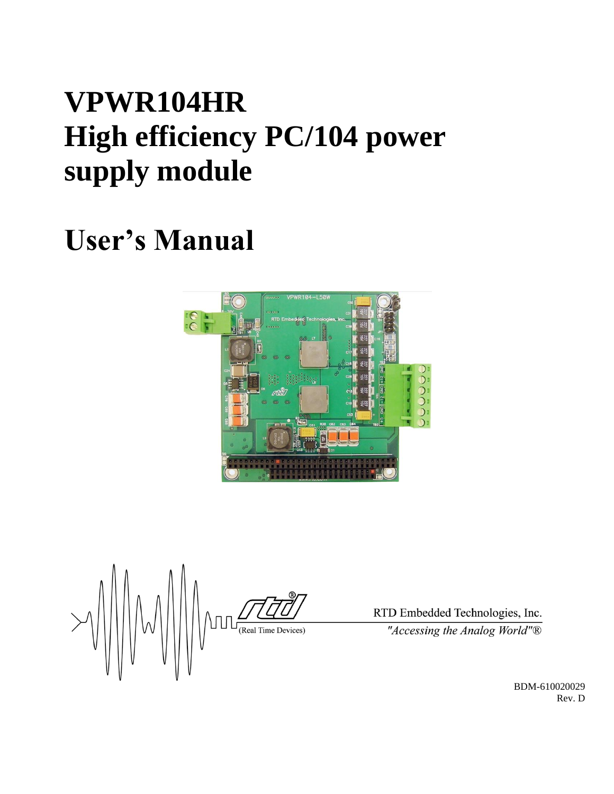## **VPWR104HR High efficiency PC/104 power supply module**

# **User's Manual**



 $\frac{1}{\frac{1}{\sqrt{1-\frac{1}{\sqrt{1-\frac{1}{\sqrt{1-\frac{1}{\sqrt{1-\frac{1}{\sqrt{1-\frac{1}{\sqrt{1-\frac{1}{\sqrt{1-\frac{1}{\sqrt{1-\frac{1}{\sqrt{1-\frac{1}{\sqrt{1-\frac{1}{\sqrt{1-\frac{1}{\sqrt{1-\frac{1}{\sqrt{1-\frac{1}{\sqrt{1-\frac{1}{\sqrt{1-\frac{1}{\sqrt{1-\frac{1}{\sqrt{1-\frac{1}{\sqrt{1-\frac{1}{\sqrt{1-\frac{1}{\sqrt{1-\frac{1}{\sqrt{1-\frac{1}{\sqrt{1-\frac{1}{\sqrt{1-\frac{1}{\sqrt{$ 

RTD Embedded Technologies, Inc. "Accessing the Analog World"®

> BDM-610020029 Rev. D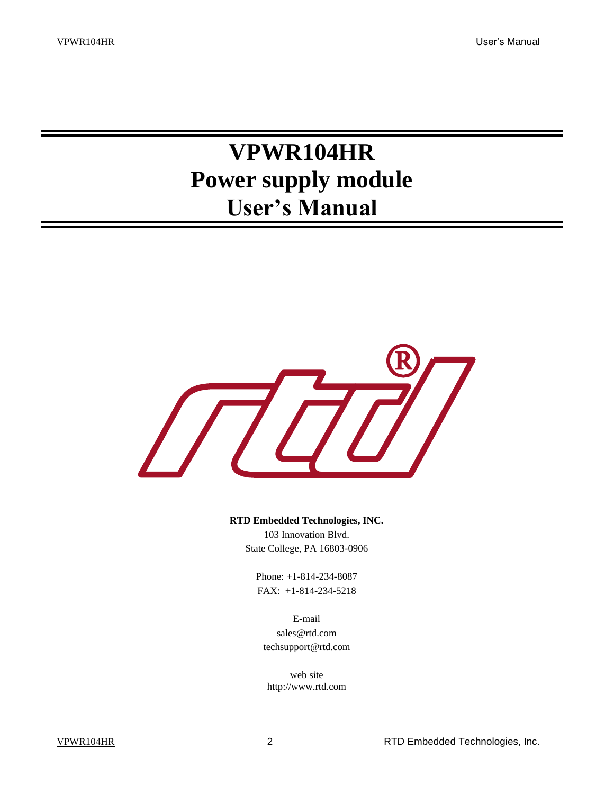## **VPWR104HR Power supply module User's Manual**



**RTD Embedded Technologies, INC.** 103 Innovation Blvd.

State College, PA 16803-0906

Phone: +1-814-234-8087 FAX: +1-814-234-5218

E-mail sales@rtd.com techsupport@rtd.com

web site http://www.rtd.com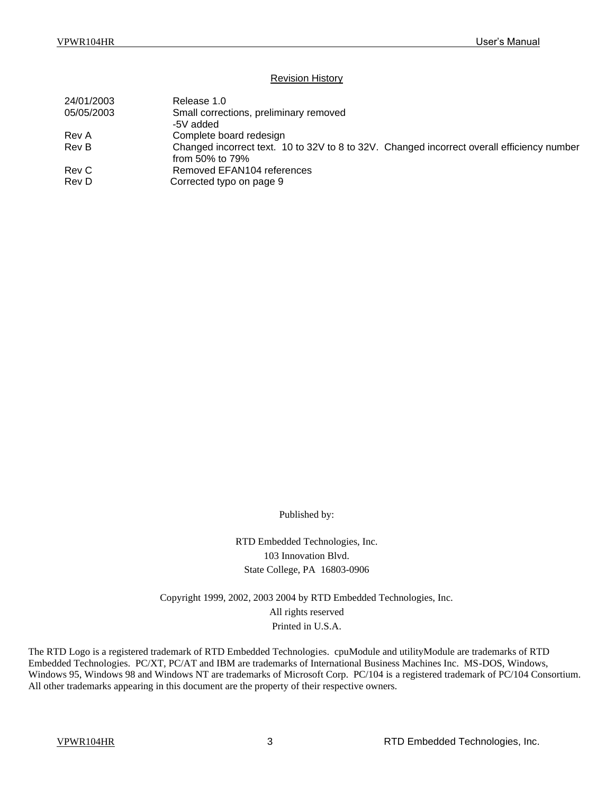#### Revision History

| 24/01/2003 | Release 1.0                                                                                |
|------------|--------------------------------------------------------------------------------------------|
| 05/05/2003 | Small corrections, preliminary removed                                                     |
|            | -5V added                                                                                  |
| Rev A      | Complete board redesign                                                                    |
| Rev B      | Changed incorrect text. 10 to 32V to 8 to 32V. Changed incorrect overall efficiency number |
|            | from 50% to $79%$                                                                          |
| Rev C      | Removed EFAN104 references                                                                 |
| Rev D      | Corrected typo on page 9                                                                   |
|            |                                                                                            |

Published by:

RTD Embedded Technologies, Inc. 103 Innovation Blvd. State College, PA 16803-0906

Copyright 1999, 2002, 2003 2004 by RTD Embedded Technologies, Inc. All rights reserved Printed in U.S.A.

The RTD Logo is a registered trademark of RTD Embedded Technologies. cpuModule and utilityModule are trademarks of RTD Embedded Technologies. PC/XT, PC/AT and IBM are trademarks of International Business Machines Inc. MS-DOS, Windows, Windows 95, Windows 98 and Windows NT are trademarks of Microsoft Corp. PC/104 is a registered trademark of PC/104 Consortium. All other trademarks appearing in this document are the property of their respective owners.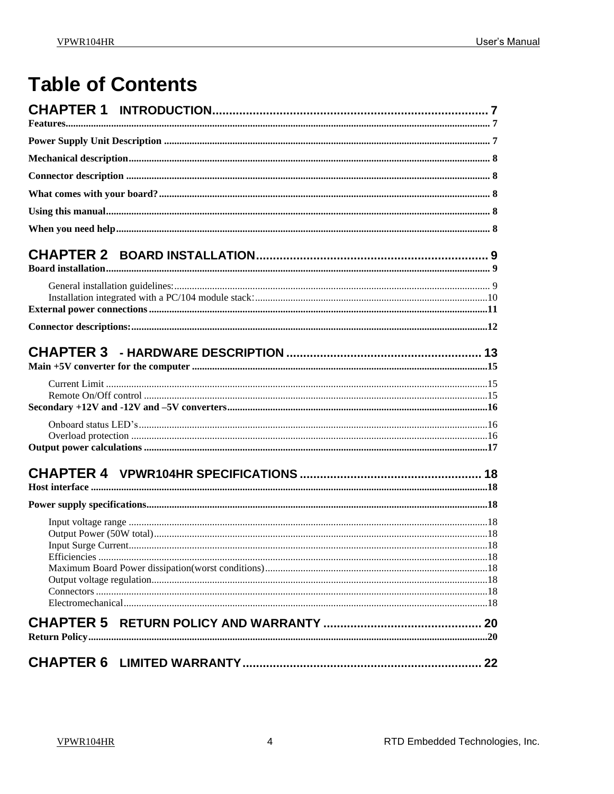## **Table of Contents**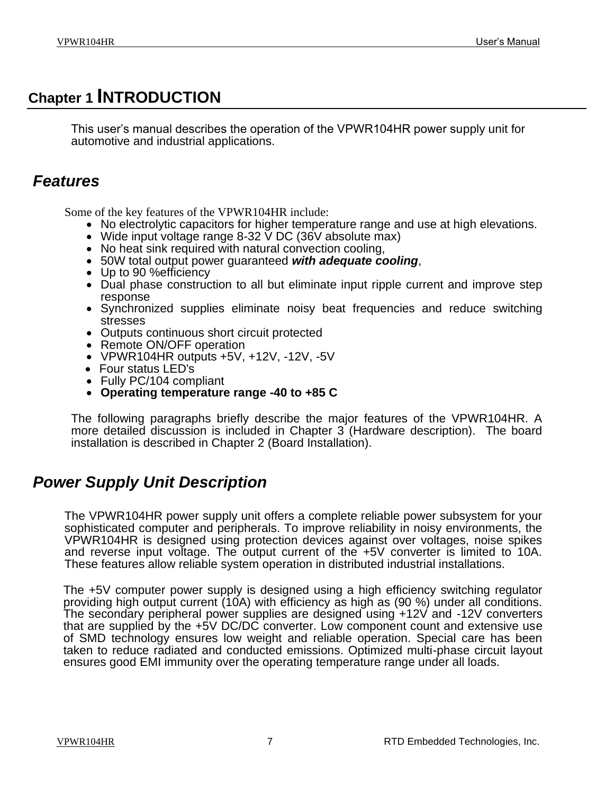### <span id="page-6-0"></span>**Chapter 1 INTRODUCTION**

This user's manual describes the operation of the VPWR104HR power supply unit for automotive and industrial applications.

### <span id="page-6-1"></span>*Features*

Some of the key features of the VPWR104HR include:

- No electrolytic capacitors for higher temperature range and use at high elevations.
- Wide input voltage range  $8-32 \text{ V}$  DC (36V absolute max)
- No heat sink required with natural convection cooling,
- 50W total output power guaranteed *with adequate cooling*,
- Up to 90 % efficiency
- Dual phase construction to all but eliminate input ripple current and improve step response
- Synchronized supplies eliminate noisy beat frequencies and reduce switching stresses
- Outputs continuous short circuit protected
- Remote ON/OFF operation
- VPWR104HR outputs +5V, +12V, -12V, -5V
- Four status LED's
- Fully PC/104 compliant
- **Operating temperature range -40 to +85 C**

The following paragraphs briefly describe the major features of the VPWR104HR. A more detailed discussion is included in Chapter 3 (Hardware description). The board installation is described in Chapter 2 (Board Installation).

### <span id="page-6-2"></span>*Power Supply Unit Description*

The VPWR104HR power supply unit offers a complete reliable power subsystem for your sophisticated computer and peripherals. To improve reliability in noisy environments, the VPWR104HR is designed using protection devices against over voltages, noise spikes and reverse input voltage. The output current of the +5V converter is limited to 10A. These features allow reliable system operation in distributed industrial installations.

The +5V computer power supply is designed using a high efficiency switching regulator providing high output current (10A) with efficiency as high as (90 %) under all conditions. The secondary peripheral power supplies are designed using +12V and -12V converters that are supplied by the +5V DC/DC converter. Low component count and extensive use of SMD technology ensures low weight and reliable operation. Special care has been taken to reduce radiated and conducted emissions. Optimized multi-phase circuit layout ensures good EMI immunity over the operating temperature range under all loads.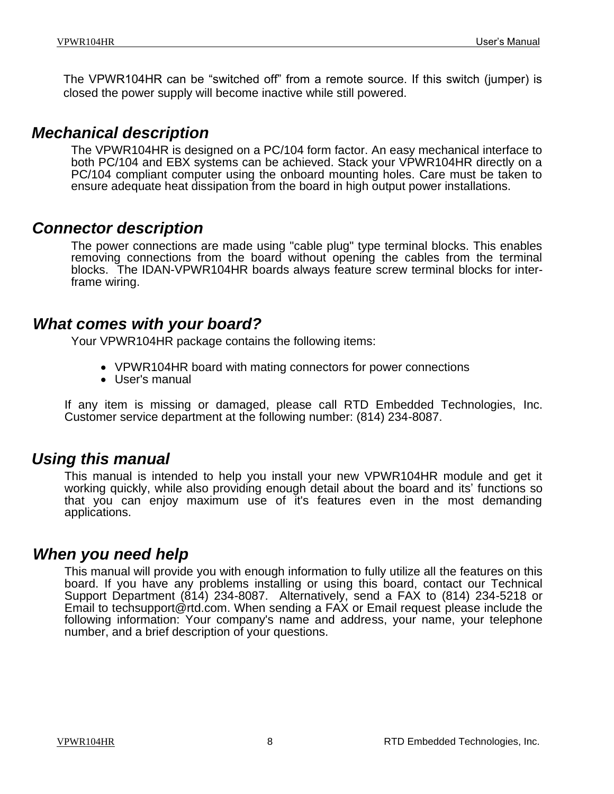The VPWR104HR can be "switched off" from a remote source. If this switch (jumper) is closed the power supply will become inactive while still powered.

#### <span id="page-7-0"></span>*Mechanical description*

The VPWR104HR is designed on a PC/104 form factor. An easy mechanical interface to both PC/104 and EBX systems can be achieved. Stack your VPWR104HR directly on a PC/104 compliant computer using the onboard mounting holes. Care must be taken to ensure adequate heat dissipation from the board in high output power installations.

#### <span id="page-7-1"></span>*Connector description*

The power connections are made using "cable plug" type terminal blocks. This enables removing connections from the board without opening the cables from the terminal blocks. The IDAN-VPWR104HR boards always feature screw terminal blocks for interframe wiring.

#### <span id="page-7-2"></span>*What comes with your board?*

Your VPWR104HR package contains the following items:

- VPWR104HR board with mating connectors for power connections
- User's manual

If any item is missing or damaged, please call RTD Embedded Technologies, Inc. Customer service department at the following number: (814) 234-8087.

#### <span id="page-7-3"></span>*Using this manual*

This manual is intended to help you install your new VPWR104HR module and get it working quickly, while also providing enough detail about the board and its' functions so that you can enjoy maximum use of it's features even in the most demanding applications.

#### <span id="page-7-4"></span>*When you need help*

This manual will provide you with enough information to fully utilize all the features on this board. If you have any problems installing or using this board, contact our Technical Support Department (814) 234-8087. Alternatively, send a FAX to (814) 234-5218 or Email to techsupport@rtd.com. When sending a FAX or Email request please include the following information: Your company's name and address, your name, your telephone number, and a brief description of your questions.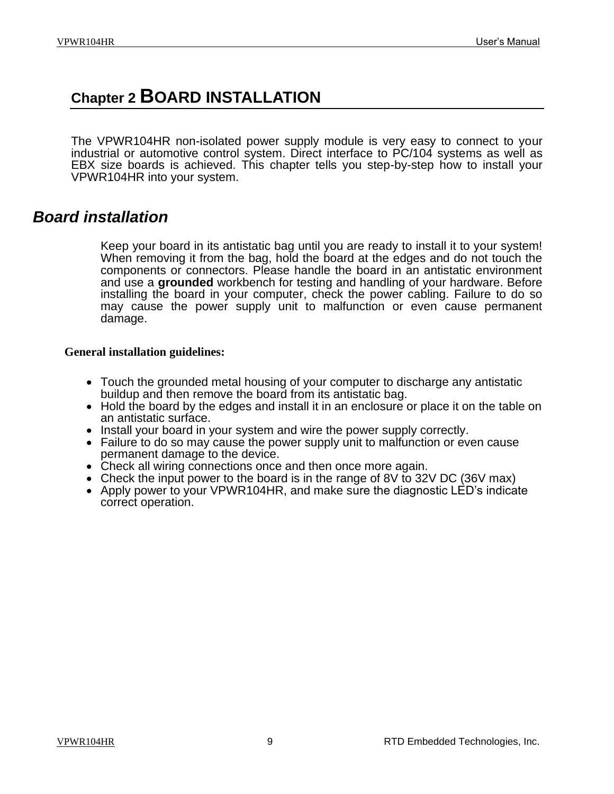### <span id="page-8-0"></span>**Chapter 2 BOARD INSTALLATION**

The VPWR104HR non-isolated power supply module is very easy to connect to your industrial or automotive control system. Direct interface to PC/104 systems as well as EBX size boards is achieved. This chapter tells you step-by-step how to install your VPWR104HR into your system.

#### <span id="page-8-1"></span>*Board installation*

Keep your board in its antistatic bag until you are ready to install it to your system! When removing it from the bag, hold the board at the edges and do not touch the components or connectors. Please handle the board in an antistatic environment and use a **grounded** workbench for testing and handling of your hardware. Before installing the board in your computer, check the power cabling. Failure to do so may cause the power supply unit to malfunction or even cause permanent damage.

#### <span id="page-8-2"></span>**General installation guidelines:**

- Touch the grounded metal housing of your computer to discharge any antistatic buildup and then remove the board from its antistatic bag.
- Hold the board by the edges and install it in an enclosure or place it on the table on an antistatic surface.
- Install your board in your system and wire the power supply correctly.
- Failure to do so may cause the power supply unit to malfunction or even cause permanent damage to the device.
- Check all wiring connections once and then once more again.
- Check the input power to the board is in the range of 8V to 32V DC (36V max)
- Apply power to your VPWR104HR, and make sure the diagnostic LED's indicate correct operation.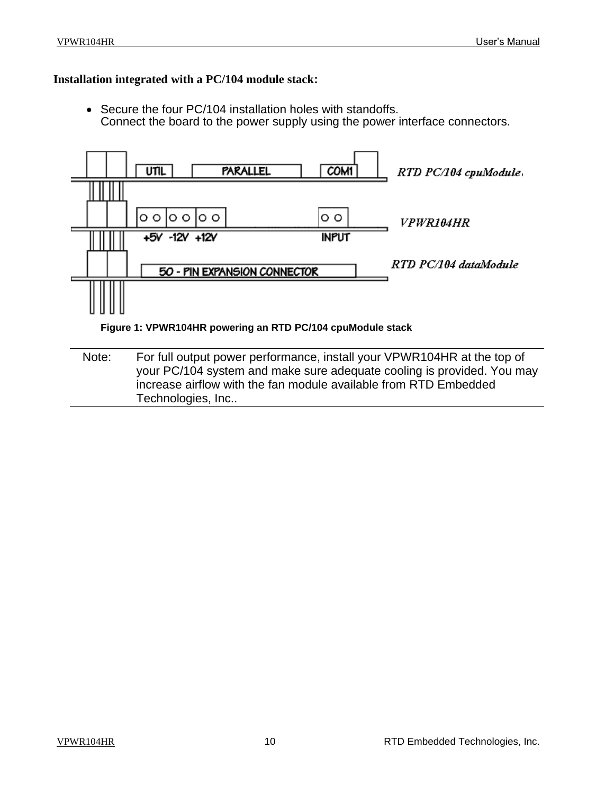#### <span id="page-9-0"></span>**Installation integrated with a PC/104 module stack:**

• Secure the four PC/104 installation holes with standoffs. Connect the board to the power supply using the power interface connectors.



<span id="page-9-2"></span><span id="page-9-1"></span>Note: For full output power performance, install your VPWR104HR at the top of your PC/104 system and make sure adequate cooling is provided. You may increase airflow with the fan module available from RTD Embedded Technologies, Inc..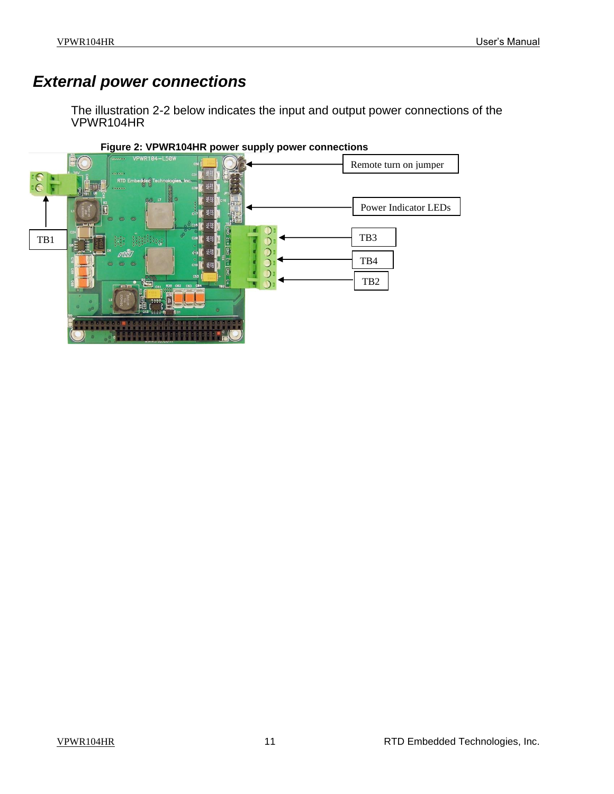### *External power connections*

The illustration 2-2 below indicates the input and output power connections of the VPWR104HR

<span id="page-10-0"></span>

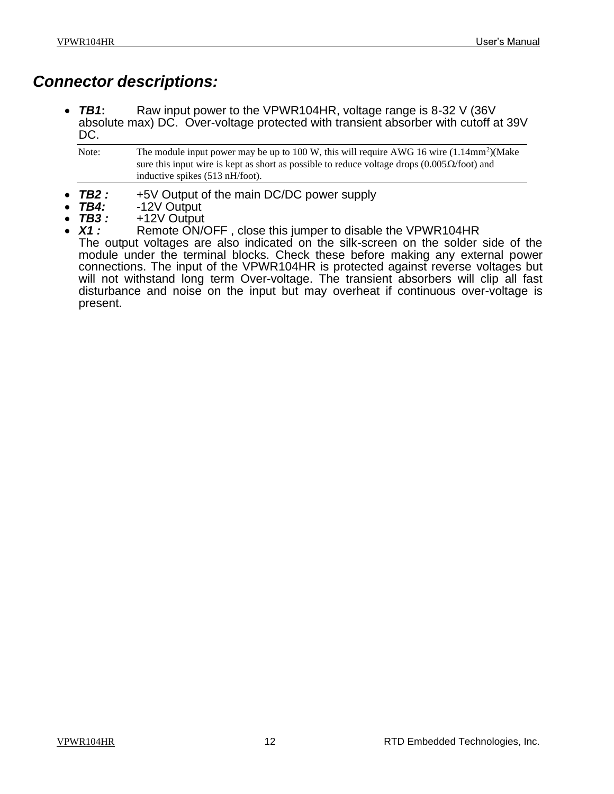#### <span id="page-11-0"></span>*Connector descriptions:*

• *TB1***:** Raw input power to the VPWR104HR, voltage range is 8-32 V (36V absolute max) DC. Over-voltage protected with transient absorber with cutoff at 39V DC.

| Note: | The module input power may be up to 100 W, this will require AWG 16 wire $(1.14 \text{mm}^2)(Make)$       |
|-------|-----------------------------------------------------------------------------------------------------------|
|       | sure this input wire is kept as short as possible to reduce voltage drops $(0.005\Omega/\text{foot})$ and |
|       | inductive spikes $(513 \text{ nH/foot})$ .                                                                |

- **TB2 :** +5V Output of the main DC/DC power supply<br>TB4: -12V Output
- *TB4:* -12V Output
- *TB3 :* +12V Output
- Remote ON/OFF, close this jumper to disable the VPWR104HR The output voltages are also indicated on the silk-screen on the solder side of the module under the terminal blocks. Check these before making any external power connections. The input of the VPWR104HR is protected against reverse voltages but will not withstand long term Over-voltage. The transient absorbers will clip all fast disturbance and noise on the input but may overheat if continuous over-voltage is present.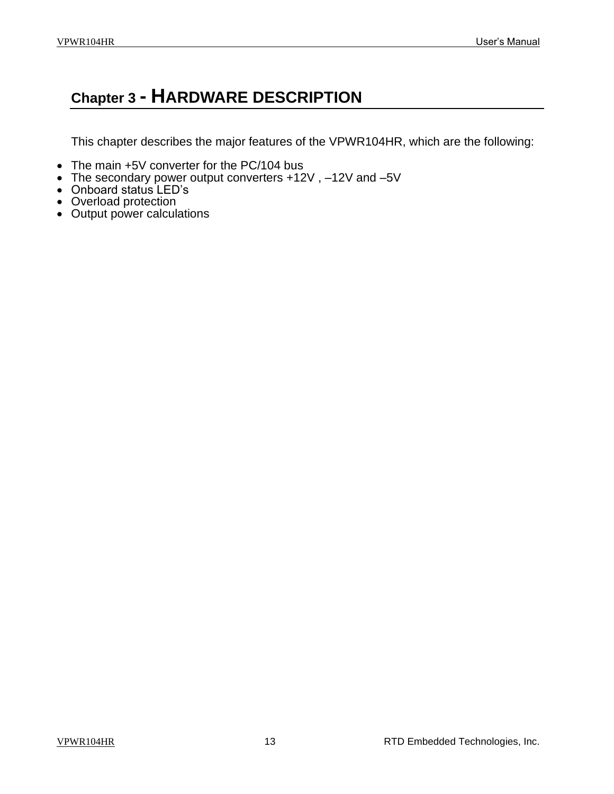### <span id="page-12-0"></span>**Chapter 3 - HARDWARE DESCRIPTION**

This chapter describes the major features of the VPWR104HR, which are the following:

- The main +5V converter for the PC/104 bus
- The secondary power output converters +12V, -12V and -5V
- Onboard status LED's
- Overload protection
- Output power calculations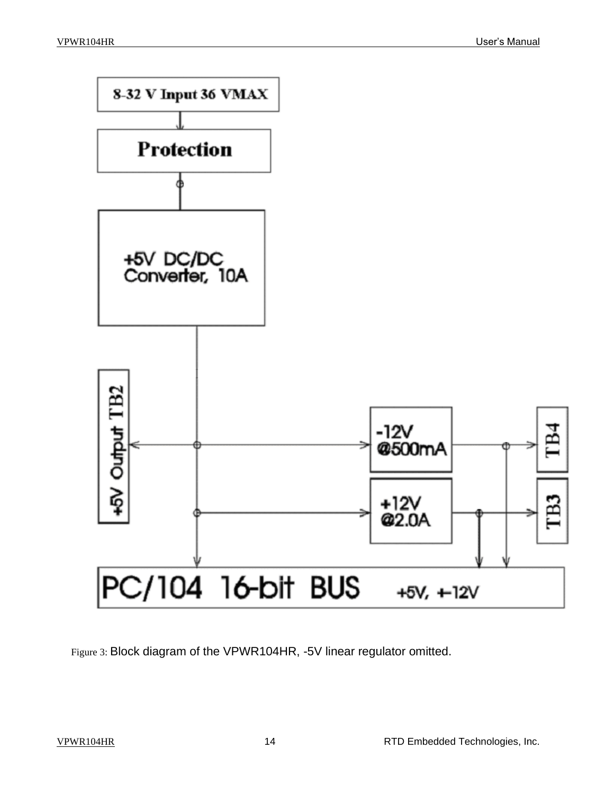

<span id="page-13-0"></span>Figure 3: Block diagram of the VPWR104HR, -5V linear regulator omitted.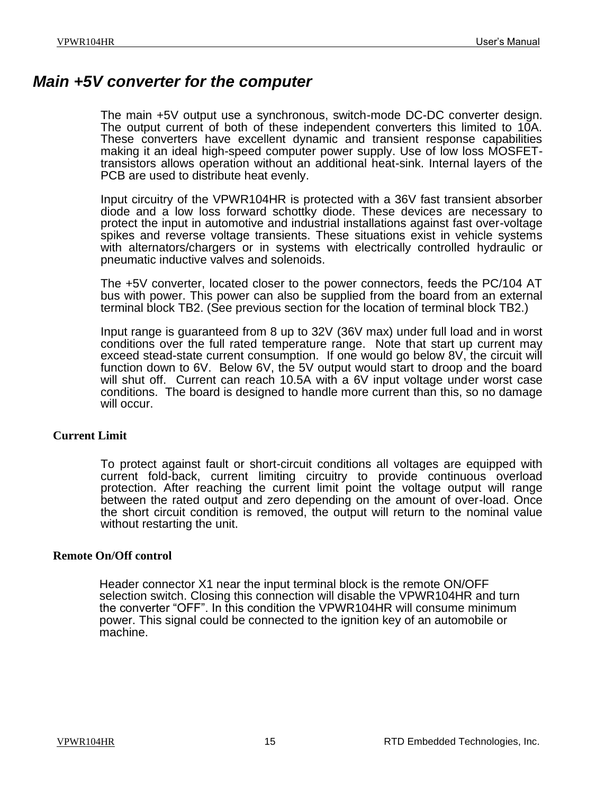#### <span id="page-14-0"></span>*Main +5V converter for the computer*

The main +5V output use a synchronous, switch-mode DC-DC converter design. The output current of both of these independent converters this limited to 10A. These converters have excellent dynamic and transient response capabilities making it an ideal high-speed computer power supply. Use of low loss MOSFETtransistors allows operation without an additional heat-sink. Internal layers of the PCB are used to distribute heat evenly.

Input circuitry of the VPWR104HR is protected with a 36V fast transient absorber diode and a low loss forward schottky diode. These devices are necessary to protect the input in automotive and industrial installations against fast over-voltage spikes and reverse voltage transients. These situations exist in vehicle systems with alternators/chargers or in systems with electrically controlled hydraulic or pneumatic inductive valves and solenoids.

The +5V converter, located closer to the power connectors, feeds the PC/104 AT bus with power. This power can also be supplied from the board from an external terminal block TB2. (See previous section for the location of terminal block TB2.)

Input range is guaranteed from 8 up to 32V (36V max) under full load and in worst conditions over the full rated temperature range. Note that start up current may exceed stead-state current consumption. If one would go below 8V, the circuit will function down to 6V. Below 6V, the 5V output would start to droop and the board will shut off. Current can reach 10.5A with a 6V input voltage under worst case conditions. The board is designed to handle more current than this, so no damage will occur.

#### <span id="page-14-1"></span>**Current Limit**

To protect against fault or short-circuit conditions all voltages are equipped with current fold-back, current limiting circuitry to provide continuous overload protection. After reaching the current limit point the voltage output will range between the rated output and zero depending on the amount of over-load. Once the short circuit condition is removed, the output will return to the nominal value without restarting the unit.

#### <span id="page-14-2"></span>**Remote On/Off control**

Header connector X1 near the input terminal block is the remote ON/OFF selection switch. Closing this connection will disable the VPWR104HR and turn the converter "OFF". In this condition the VPWR104HR will consume minimum power. This signal could be connected to the ignition key of an automobile or machine.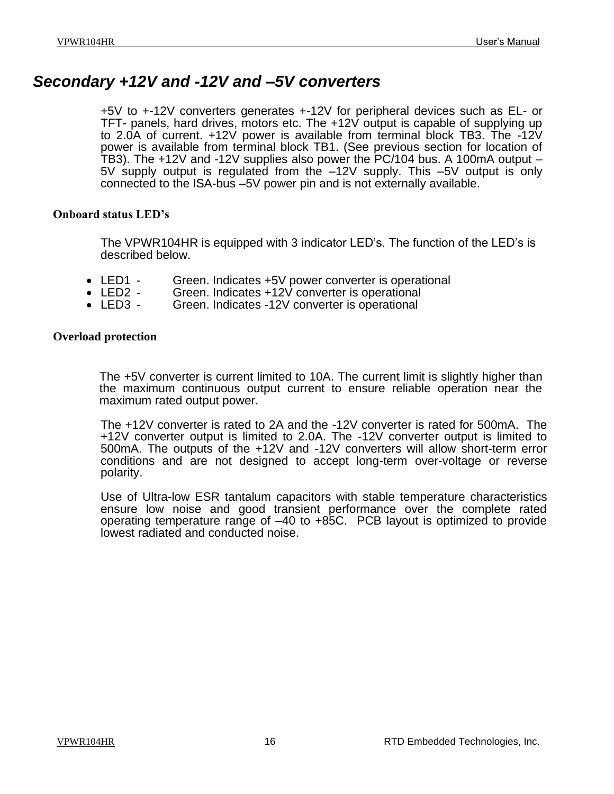#### <span id="page-15-0"></span>*Secondary +12V and -12V and –5V converters*

+5V to +-12V converters generates +-12V for peripheral devices such as EL- or TFT- panels, hard drives, motors etc. The +12V output is capable of supplying up to 2.0A of current. +12V power is available from terminal block TB3. The -12V power is available from terminal block TB1. (See previous section for location of TB3). The +12V and -12V supplies also power the PC/104 bus. A 100mA output – 5V supply output is regulated from the –12V supply. This –5V output is only connected to the ISA-bus –5V power pin and is not externally available.

#### <span id="page-15-1"></span>**Onboard status LED's**

The VPWR104HR is equipped with 3 indicator LED's. The function of the LED's is described below.

- LED1 Green. Indicates +5V power converter is operational<br>• LED2 Green. Indicates +12V converter is operational
- LED2 Green. Indicates +12V converter is operational<br>• LED3 Green. Indicates -12V converter is operational
- Green. Indicates -12V converter is operational

#### <span id="page-15-2"></span>**Overload protection**

The +5V converter is current limited to 10A. The current limit is slightly higher than the maximum continuous output current to ensure reliable operation near the maximum rated output power.

The +12V converter is rated to 2A and the -12V converter is rated for 500mA. The +12V converter output is limited to 2.0A. The -12V converter output is limited to 500mA. The outputs of the +12V and -12V converters will allow short-term error conditions and are not designed to accept long-term over-voltage or reverse polarity.

Use of Ultra-low ESR tantalum capacitors with stable temperature characteristics ensure low noise and good transient performance over the complete rated operating temperature range of –40 to +85C. PCB layout is optimized to provide lowest radiated and conducted noise.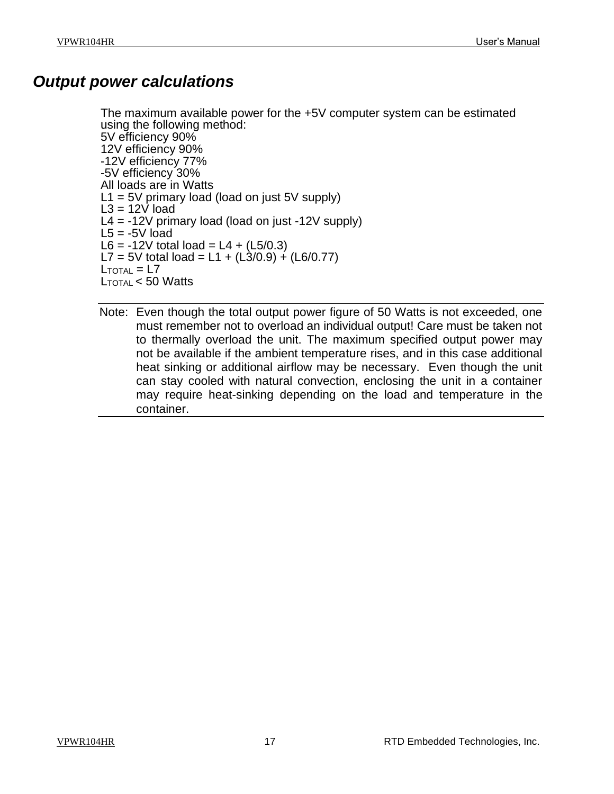#### <span id="page-16-0"></span>*Output power calculations*

The maximum available power for the +5V computer system can be estimated using the following method: 5V efficiency 90% 12V efficiency 90% -12V efficiency 77% -5V efficiency 30% All loads are in Watts  $L1 = 5V$  primary load (load on just  $5V$  supply)  $L3 = 12V$  load  $L4 = -12V$  primary load (load on just  $-12V$  supply)  $L5 = -5V$  load  $L6 = -12V$  total load =  $L4 + (L5/0.3)$ L7 = 5V total load = L1 +  $(L3/0.9) + (L6/0.77)$  $L_{\text{TOTAI}} = L7$ LTOTAL < 50 Watts

Note: Even though the total output power figure of 50 Watts is not exceeded, one must remember not to overload an individual output! Care must be taken not to thermally overload the unit. The maximum specified output power may not be available if the ambient temperature rises, and in this case additional heat sinking or additional airflow may be necessary. Even though the unit can stay cooled with natural convection, enclosing the unit in a container may require heat-sinking depending on the load and temperature in the container.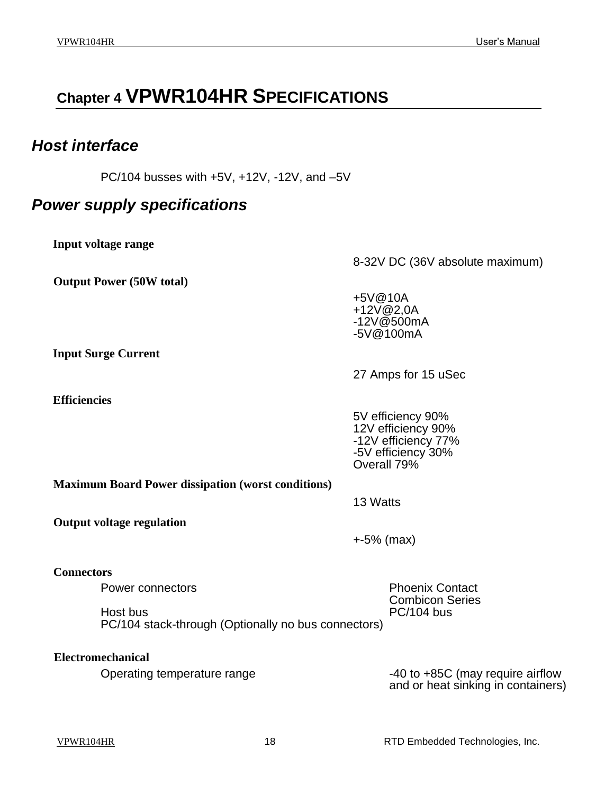## <span id="page-17-0"></span>**Chapter 4 VPWR104HR SPECIFICATIONS**

#### <span id="page-17-1"></span>*Host interface*

PC/104 busses with +5V, +12V, -12V, and –5V

#### <span id="page-17-2"></span>*Power supply specifications*

<span id="page-17-3"></span>**Input voltage range**

<span id="page-17-4"></span>**Output Power (50W total)**

8-32V DC (36V absolute maximum)

+5V@10A +12V@2,0A -12V@500mA -5V@100mA

<span id="page-17-5"></span>**Input Surge Current**

<span id="page-17-6"></span>**Efficiencies** 

27 Amps for 15 uSec

5V efficiency 90% 12V efficiency 90% -12V efficiency 77% -5V efficiency 30% Overall 79%

<span id="page-17-7"></span>**Maximum Board Power dissipation (worst conditions)**

13 Watts

<span id="page-17-8"></span>**Output voltage regulation**

+-5% (max)

#### <span id="page-17-9"></span>**Connectors**

Power connectors **Phoenix Contact** 

Host bus PC/104 bus

Combicon Series

PC/104 stack-through (Optionally no bus connectors)

<span id="page-17-10"></span>**Electromechanical** Operating temperature range  $-40$  to  $+85C$  (may require airflow

and or heat sinking in containers)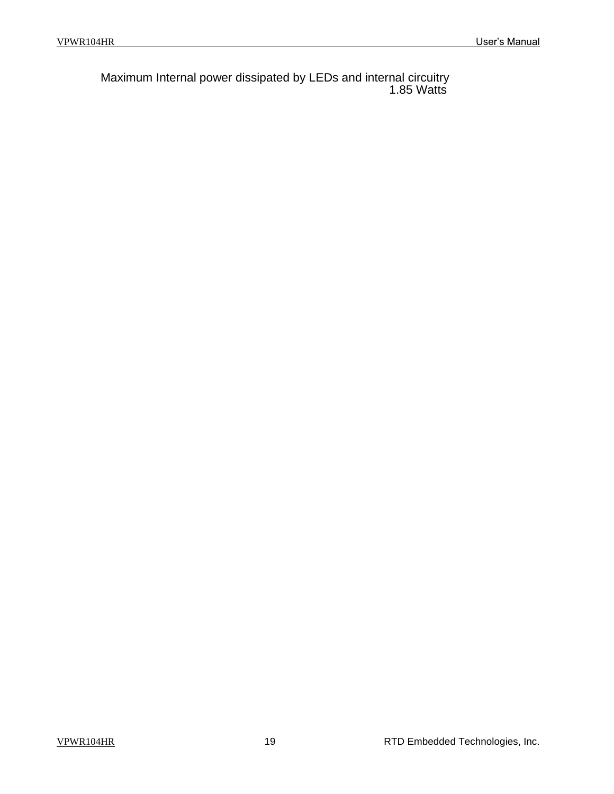Maximum Internal power dissipated by LEDs and internal circuitry 1.85 Watts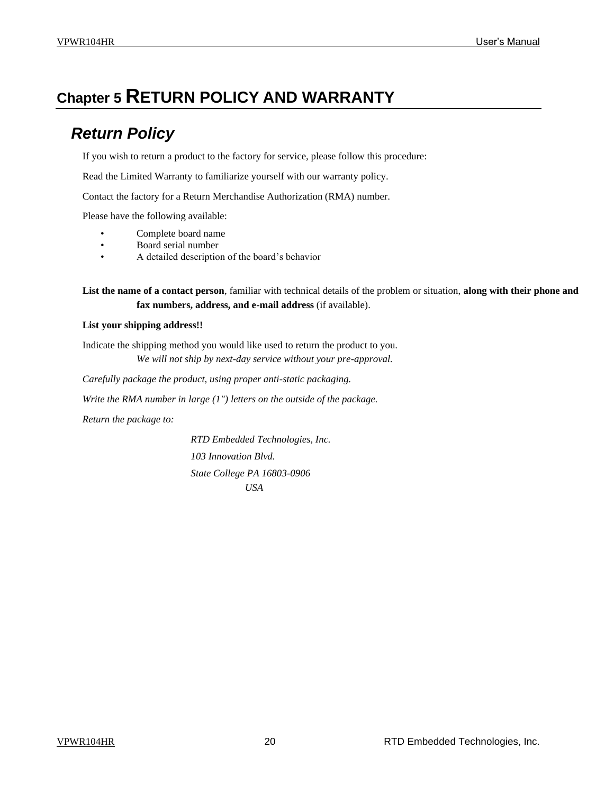### <span id="page-19-1"></span><span id="page-19-0"></span>**Chapter 5 RETURN POLICY AND WARRANTY**

### *Return Policy*

If you wish to return a product to the factory for service, please follow this procedure:

Read the Limited Warranty to familiarize yourself with our warranty policy.

Contact the factory for a Return Merchandise Authorization (RMA) number.

Please have the following available:

- Complete board name
- Board serial number
- A detailed description of the board's behavior

**List the name of a contact person**, familiar with technical details of the problem or situation, **along with their phone and fax numbers, address, and e-mail address** (if available).

#### **List your shipping address!!**

Indicate the shipping method you would like used to return the product to you. *We will not ship by next-day service without your pre-approval.*

*Carefully package the product, using proper anti-static packaging.*

*Write the RMA number in large (1") letters on the outside of the package.*

*Return the package to:*

*RTD Embedded Technologies, Inc. 103 Innovation Blvd. State College PA 16803-0906 USA*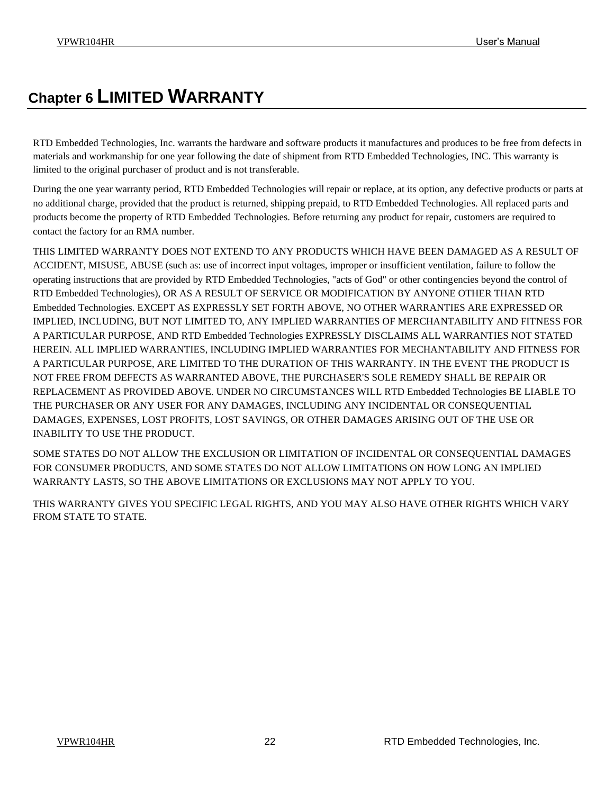## <span id="page-21-0"></span>**Chapter 6 LIMITED WARRANTY**

RTD Embedded Technologies, Inc. warrants the hardware and software products it manufactures and produces to be free from defects in materials and workmanship for one year following the date of shipment from RTD Embedded Technologies, INC. This warranty is limited to the original purchaser of product and is not transferable.

During the one year warranty period, RTD Embedded Technologies will repair or replace, at its option, any defective products or parts at no additional charge, provided that the product is returned, shipping prepaid, to RTD Embedded Technologies. All replaced parts and products become the property of RTD Embedded Technologies. Before returning any product for repair, customers are required to contact the factory for an RMA number.

THIS LIMITED WARRANTY DOES NOT EXTEND TO ANY PRODUCTS WHICH HAVE BEEN DAMAGED AS A RESULT OF ACCIDENT, MISUSE, ABUSE (such as: use of incorrect input voltages, improper or insufficient ventilation, failure to follow the operating instructions that are provided by RTD Embedded Technologies, "acts of God" or other contingencies beyond the control of RTD Embedded Technologies), OR AS A RESULT OF SERVICE OR MODIFICATION BY ANYONE OTHER THAN RTD Embedded Technologies. EXCEPT AS EXPRESSLY SET FORTH ABOVE, NO OTHER WARRANTIES ARE EXPRESSED OR IMPLIED, INCLUDING, BUT NOT LIMITED TO, ANY IMPLIED WARRANTIES OF MERCHANTABILITY AND FITNESS FOR A PARTICULAR PURPOSE, AND RTD Embedded Technologies EXPRESSLY DISCLAIMS ALL WARRANTIES NOT STATED HEREIN. ALL IMPLIED WARRANTIES, INCLUDING IMPLIED WARRANTIES FOR MECHANTABILITY AND FITNESS FOR A PARTICULAR PURPOSE, ARE LIMITED TO THE DURATION OF THIS WARRANTY. IN THE EVENT THE PRODUCT IS NOT FREE FROM DEFECTS AS WARRANTED ABOVE, THE PURCHASER'S SOLE REMEDY SHALL BE REPAIR OR REPLACEMENT AS PROVIDED ABOVE. UNDER NO CIRCUMSTANCES WILL RTD Embedded Technologies BE LIABLE TO THE PURCHASER OR ANY USER FOR ANY DAMAGES, INCLUDING ANY INCIDENTAL OR CONSEQUENTIAL DAMAGES, EXPENSES, LOST PROFITS, LOST SAVINGS, OR OTHER DAMAGES ARISING OUT OF THE USE OR INABILITY TO USE THE PRODUCT.

SOME STATES DO NOT ALLOW THE EXCLUSION OR LIMITATION OF INCIDENTAL OR CONSEQUENTIAL DAMAGES FOR CONSUMER PRODUCTS, AND SOME STATES DO NOT ALLOW LIMITATIONS ON HOW LONG AN IMPLIED WARRANTY LASTS, SO THE ABOVE LIMITATIONS OR EXCLUSIONS MAY NOT APPLY TO YOU.

THIS WARRANTY GIVES YOU SPECIFIC LEGAL RIGHTS, AND YOU MAY ALSO HAVE OTHER RIGHTS WHICH VARY FROM STATE TO STATE.